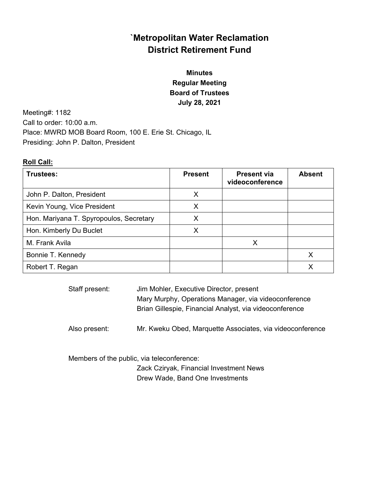# **`Metropolitan Water Reclamation District Retirement Fund**

# **Minutes Regular Meeting Board of Trustees July 28, 2021**

Meeting#: 1182 Call to order: 10:00 a.m. Place: MWRD MOB Board Room, 100 E. Erie St. Chicago, IL Presiding: John P. Dalton, President

### **Roll Call:**

| Trustees:                               | <b>Present</b> | <b>Present via</b><br>videoconference | <b>Absent</b> |
|-----------------------------------------|----------------|---------------------------------------|---------------|
| John P. Dalton, President               | X              |                                       |               |
| Kevin Young, Vice President             | X              |                                       |               |
| Hon. Mariyana T. Spyropoulos, Secretary | x              |                                       |               |
| Hon. Kimberly Du Buclet                 | х              |                                       |               |
| M. Frank Avila                          |                | X                                     |               |
| Bonnie T. Kennedy                       |                |                                       | Х             |
| Robert T. Regan                         |                |                                       |               |

| Staff present: | Jim Mohler, Executive Director, present<br>Mary Murphy, Operations Manager, via videoconference<br>Brian Gillespie, Financial Analyst, via videoconference |
|----------------|------------------------------------------------------------------------------------------------------------------------------------------------------------|
| Also present:  | Mr. Kweku Obed, Marquette Associates, via videoconference                                                                                                  |

 Members of the public, via teleconference: Zack Cziryak, Financial Investment News Drew Wade, Band One Investments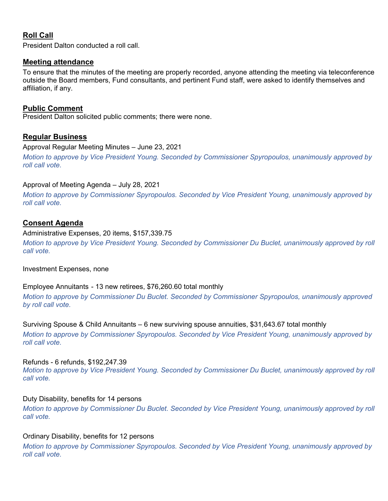### **Roll Call**

President Dalton conducted a roll call.

### **Meeting attendance**

To ensure that the minutes of the meeting are properly recorded, anyone attending the meeting via teleconference outside the Board members, Fund consultants, and pertinent Fund staff, were asked to identify themselves and affiliation, if any.

### **Public Comment**

President Dalton solicited public comments; there were none.

### **Regular Business**

Approval Regular Meeting Minutes – June 23, 2021

*Motion to approve by Vice President Young. Seconded by Commissioner Spyropoulos, unanimously approved by roll call vote.* 

### Approval of Meeting Agenda – July 28, 2021

*Motion to approve by Commissioner Spyropoulos. Seconded by Vice President Young, unanimously approved by roll call vote.* 

### **Consent Agenda**

*roll call vote.* 

### Administrative Expenses, 20 items, \$157,339.75

*Motion to approve by Vice President Young. Seconded by Commissioner Du Buclet, unanimously approved by roll call vote.* 

Investment Expenses, none

Employee Annuitants - 13 new retirees, \$76,260.60 total monthly

*Motion to approve by Commissioner Du Buclet. Seconded by Commissioner Spyropoulos, unanimously approved by roll call vote.* 

Surviving Spouse & Child Annuitants – 6 new surviving spouse annuities, \$31,643.67 total monthly *Motion to approve by Commissioner Spyropoulos. Seconded by Vice President Young, unanimously approved by* 

#### Refunds - 6 refunds, \$192,247.39

*Motion to approve by Vice President Young. Seconded by Commissioner Du Buclet, unanimously approved by roll call vote.* 

### Duty Disability, benefits for 14 persons

*Motion to approve by Commissioner Du Buclet. Seconded by Vice President Young, unanimously approved by roll call vote.* 

### Ordinary Disability, benefits for 12 persons

*Motion to approve by Commissioner Spyropoulos. Seconded by Vice President Young, unanimously approved by roll call vote.*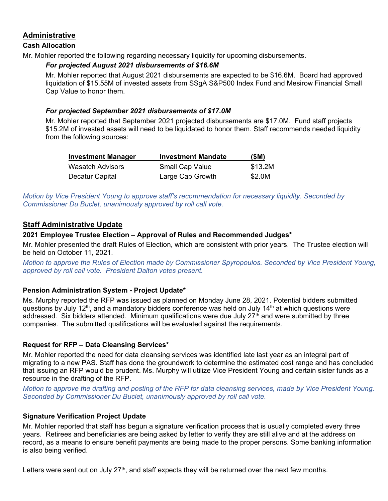### **Administrative**

### **Cash Allocation**

Mr. Mohler reported the following regarding necessary liquidity for upcoming disbursements.

### *For projected August 2021 disbursements of \$16.6M*

Mr. Mohler reported that August 2021 disbursements are expected to be \$16.6M. Board had approved liquidation of \$15.55M of invested assets from SSgA S&P500 Index Fund and Mesirow Financial Small Cap Value to honor them.

### *For projected September 2021 disbursements of \$17.0M*

Mr. Mohler reported that September 2021 projected disbursements are \$17.0M. Fund staff projects \$15.2M of invested assets will need to be liquidated to honor them. Staff recommends needed liquidity from the following sources:

| <b>Investment Manager</b> | <b>Investment Mandate</b> | (SM)    |
|---------------------------|---------------------------|---------|
| Wasatch Advisors          | <b>Small Cap Value</b>    | \$13.2M |
| Decatur Capital           | Large Cap Growth          | \$2.0M  |

*Motion by Vice President Young to approve staff's recommendation for necessary liquidity. Seconded by Commissioner Du Buclet, unanimously approved by roll call vote.* 

### **Staff Administrative Update**

### **2021 Employee Trustee Election – Approval of Rules and Recommended Judges\***

Mr. Mohler presented the draft Rules of Election, which are consistent with prior years. The Trustee election will be held on October 11, 2021.

*Motion to approve the Rules of Election made by Commissioner Spyropoulos. Seconded by Vice President Young, approved by roll call vote. President Dalton votes present.* 

### **Pension Administration System - Project Update\***

Ms. Murphy reported the RFP was issued as planned on Monday June 28, 2021. Potential bidders submitted questions by July 12<sup>th</sup>, and a mandatory bidders conference was held on July 14<sup>th</sup> at which questions were addressed. Six bidders attended. Minimum qualifications were due July  $27<sup>th</sup>$  and were submitted by three companies. The submitted qualifications will be evaluated against the requirements.

### **Request for RFP – Data Cleansing Services\***

Mr. Mohler reported the need for data cleansing services was identified late last year as an integral part of migrating to a new PAS. Staff has done the groundwork to determine the estimated cost range and has concluded that issuing an RFP would be prudent. Ms. Murphy will utilize Vice President Young and certain sister funds as a resource in the drafting of the RFP.

*Motion to approve the drafting and posting of the RFP for data cleansing services, made by Vice President Young. Seconded by Commissioner Du Buclet, unanimously approved by roll call vote.* 

### **Signature Verification Project Update**

Mr. Mohler reported that staff has begun a signature verification process that is usually completed every three years. Retirees and beneficiaries are being asked by letter to verify they are still alive and at the address on record, as a means to ensure benefit payments are being made to the proper persons. Some banking information is also being verified.

Letters were sent out on July  $27<sup>th</sup>$ , and staff expects they will be returned over the next few months.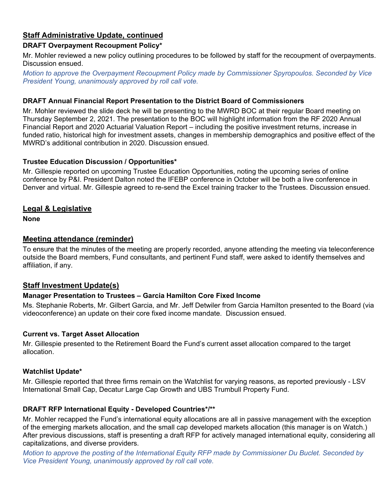## **Staff Administrative Update, continued**

### **DRAFT Overpayment Recoupment Policy\***

Mr. Mohler reviewed a new policy outlining procedures to be followed by staff for the recoupment of overpayments. Discussion ensued.

*Motion to approve the Overpayment Recoupment Policy made by Commissioner Spyropoulos. Seconded by Vice President Young, unanimously approved by roll call vote.* 

### **DRAFT Annual Financial Report Presentation to the District Board of Commissioners**

Mr. Mohler reviewed the slide deck he will be presenting to the MWRD BOC at their regular Board meeting on Thursday September 2, 2021. The presentation to the BOC will highlight information from the RF 2020 Annual Financial Report and 2020 Actuarial Valuation Report – including the positive investment returns, increase in funded ratio, historical high for investment assets, changes in membership demographics and positive effect of the MWRD's additional contribution in 2020. Discussion ensued.

### **Trustee Education Discussion / Opportunities\***

Mr. Gillespie reported on upcoming Trustee Education Opportunities, noting the upcoming series of online conference by P&I. President Dalton noted the IFEBP conference in October will be both a live conference in Denver and virtual. Mr. Gillespie agreed to re-send the Excel training tracker to the Trustees. Discussion ensued.

### **Legal & Legislative**

**None** 

### **Meeting attendance (reminder)**

To ensure that the minutes of the meeting are properly recorded, anyone attending the meeting via teleconference outside the Board members, Fund consultants, and pertinent Fund staff, were asked to identify themselves and affiliation, if any.

### **Staff Investment Update(s)**

### **Manager Presentation to Trustees – Garcia Hamilton Core Fixed Income**

Ms. Stephanie Roberts, Mr. Gilbert Garcia, and Mr. Jeff Detwiler from Garcia Hamilton presented to the Board (via videoconference) an update on their core fixed income mandate. Discussion ensued.

### **Current vs. Target Asset Allocation**

Mr. Gillespie presented to the Retirement Board the Fund's current asset allocation compared to the target allocation.

### **Watchlist Update\***

Mr. Gillespie reported that three firms remain on the Watchlist for varying reasons, as reported previously - LSV International Small Cap, Decatur Large Cap Growth and UBS Trumbull Property Fund.

### **DRAFT RFP International Equity - Developed Countries\*/\*\***

Mr. Mohler recapped the Fund's international equity allocations are all in passive management with the exception of the emerging markets allocation, and the small cap developed markets allocation (this manager is on Watch.) After previous discussions, staff is presenting a draft RFP for actively managed international equity, considering all capitalizations, and diverse providers.

*Motion to approve the posting of the International Equity RFP made by Commissioner Du Buclet. Seconded by Vice President Young, unanimously approved by roll call vote.*